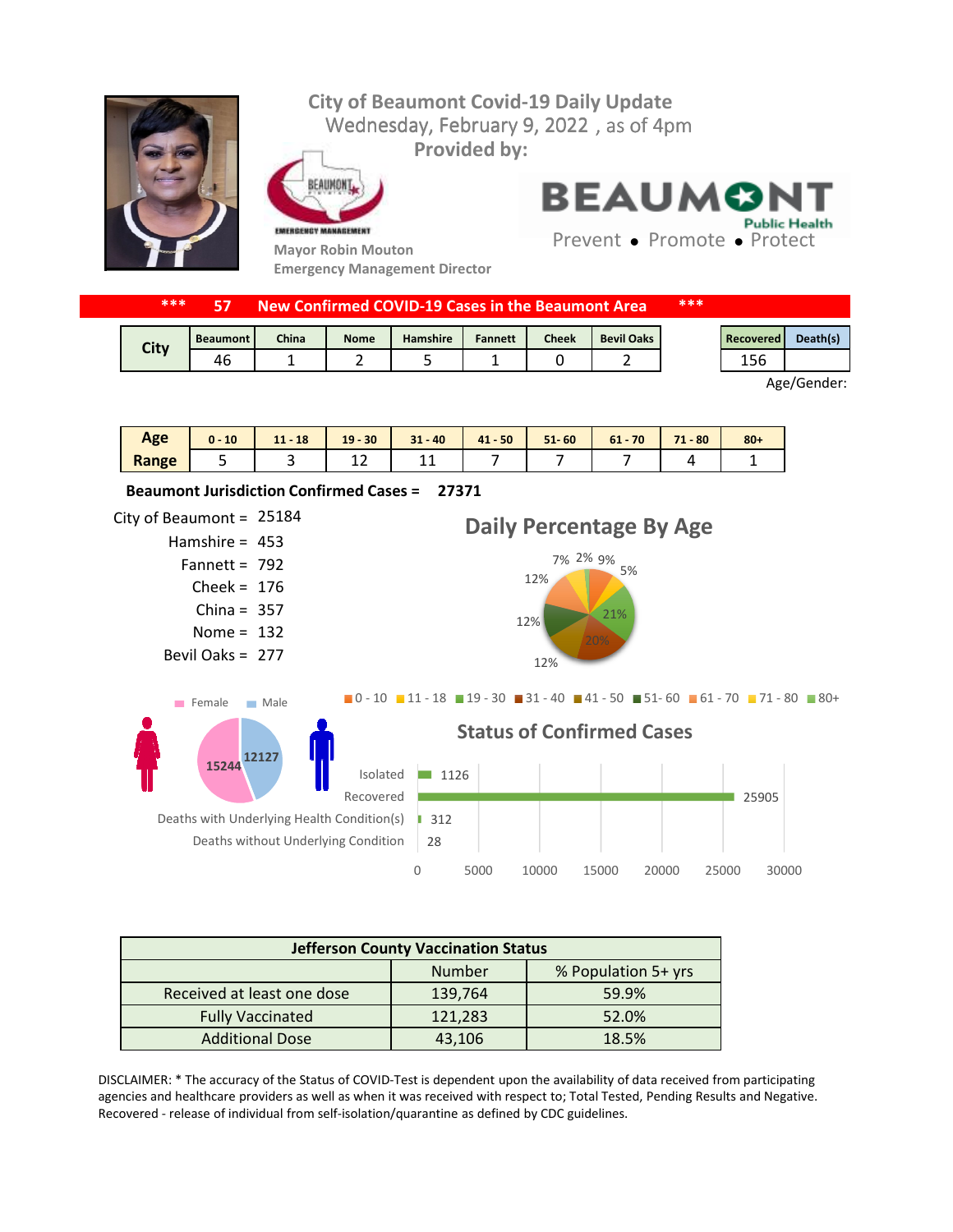## Wednesday, February 9, 2022, as of 4pm **City of Beaumont Covid-19 Daily Update Provided by:**



EAUMONT



**Mayor Robin Mouton Emergency Management Director** **BEAUMON Public Health** 

Prevent • Promote • Protect

|             | *** |                 |       |             | New Confirmed COVID-19 Cases in the Beaumont Area |                |              |                   | *** |           |          |
|-------------|-----|-----------------|-------|-------------|---------------------------------------------------|----------------|--------------|-------------------|-----|-----------|----------|
| <b>City</b> |     | <b>Beaumont</b> | China | <b>Nome</b> | <b>Hamshire</b>                                   | <b>Fannett</b> | <b>Cheek</b> | <b>Bevil Oaks</b> |     | Recovered | Death(s) |
|             |     | 46              |       | _           |                                                   |                |              |                   |     |           |          |

Age/Gender:

| Age   | 10<br>$\Omega -$ | 18<br>11<br> | $19 - 30$ | $31 - 40$ | $41 - 50$ | $51 - 60$ | $61 - 70$ | $-80$<br>71 | $80 +$ |
|-------|------------------|--------------|-----------|-----------|-----------|-----------|-----------|-------------|--------|
| Range |                  |              | --        | --        |           |           |           |             |        |



| <b>Jefferson County Vaccination Status</b> |         |                     |  |  |  |
|--------------------------------------------|---------|---------------------|--|--|--|
|                                            | Number  | % Population 5+ yrs |  |  |  |
| Received at least one dose                 | 139,764 | 59.9%               |  |  |  |
| <b>Fully Vaccinated</b>                    | 121,283 | 52.0%               |  |  |  |
| <b>Additional Dose</b>                     | 43,106  | 18.5%               |  |  |  |

DISCLAIMER: \* The accuracy of the Status of COVID-Test is dependent upon the availability of data received from participating agencies and healthcare providers as well as when it was received with respect to; Total Tested, Pending Results and Negative. Recovered - release of individual from self-isolation/quarantine as defined by CDC guidelines.